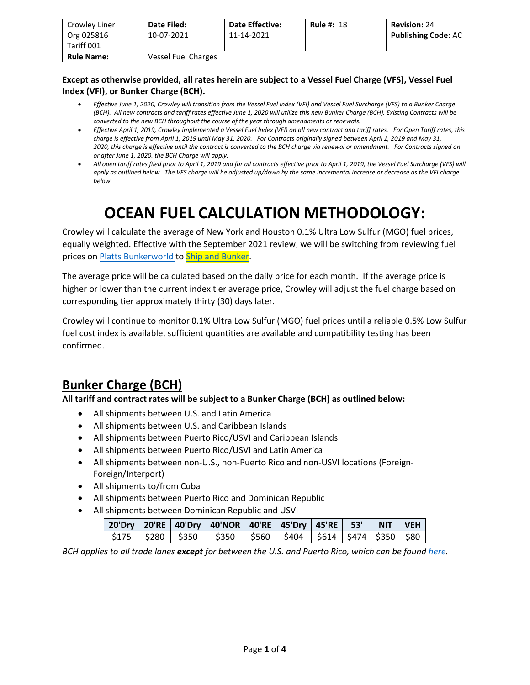| Crowley Liner<br>Org 025816<br>Tariff 001 | <b>Date Filed:</b><br>10-07-2021 | <b>Date Effective:</b><br>11-14-2021 | <b>Rule #: 18</b> | <b>Revision: 24</b><br><b>Publishing Code: AC</b> |
|-------------------------------------------|----------------------------------|--------------------------------------|-------------------|---------------------------------------------------|
| <b>Rule Name:</b>                         | Vessel Fuel Charges              |                                      |                   |                                                   |

#### **Except as otherwise provided, all rates herein are subject to a Vessel Fuel Charge (VFS), Vessel Fuel Index (VFI), or Bunker Charge (BCH).**

- *Effective June 1, 2020, Crowley will transition from the Vessel Fuel Index (VFI) and Vessel Fuel Surcharge (VFS) to a Bunker Charge (BCH). All new contracts and tariff rates effective June 1, 2020 will utilize this new Bunker Charge (BCH). Existing Contracts will be converted to the new BCH throughout the course of the year through amendments or renewals.*
- *Effective April 1, 2019, Crowley implemented a Vessel Fuel Index (VFI) on all new contract and tariff rates. For Open Tariff rates, this charge is effective from April 1, 2019 until May 31, 2020. For Contracts originally signed between April 1, 2019 and May 31, 2020, this charge is effective until the contract is converted to the BCH charge via renewal or amendment. For Contracts signed on or after June 1, 2020, the BCH Charge will apply.*
- *All open tariff rates filed prior to April 1, 2019 and for all contracts effective prior to April 1, 2019, the Vessel Fuel Surcharge (VFS) will apply as outlined below. The VFS charge will be adjusted up/down by the same incremental increase or decrease as the VFI charge below.*

# **OCEAN FUEL CALCULATION METHODOLOGY:**

Crowley will calculate the average of New York and Houston 0.1% Ultra Low Sulfur (MGO) fuel prices, equally weighted. Effective with the September 2021 review, we will be switching from reviewing fuel prices on **Platts Bunkerworld** to **Ship and Bunker**.

The average price will be calculated based on the daily price for each month. If the average price is higher or lower than the current index tier average price, Crowley will adjust the fuel charge based on corresponding tier approximately thirty (30) days later.

Crowley will continue to monitor 0.1% Ultra Low Sulfur (MGO) fuel prices until a reliable 0.5% Low Sulfur fuel cost index is available, sufficient quantities are available and compatibility testing has been confirmed.

### **Bunker Charge (BCH)**

**All tariff and contract rates will be subject to a Bunker Charge (BCH) as outlined below:**

- All shipments between U.S. and Latin America
- All shipments between U.S. and Caribbean Islands
- All shipments between Puerto Rico/USVI and Caribbean Islands
- All shipments between Puerto Rico/USVI and Latin America
- All shipments between non-U.S., non-Puerto Rico and non-USVI locations (Foreign-Foreign/Interport)
- All shipments to/from Cuba
- All shipments between Puerto Rico and Dominican Republic
- All shipments between Dominican Republic and USVI

|  |  | 20'Dry   20'RE   40'Dry   40'NOR   40'RE   45'Dry   45'RE     53'      NIT    VEH |  |  |  |
|--|--|-----------------------------------------------------------------------------------|--|--|--|
|  |  | \$175   \$280   \$350   \$350   \$560   \$404   \$614   \$474   \$350   \$80      |  |  |  |

*BCH applies to all trade lanes except for between the U.S. and Puerto Rico, which can be found [here.](https://www.crowley.com/logistics/resources/rates-tariffs/stb/#18-1-vessel-fuel-surcharge-between-the-continental-us-and-puerto-rico)*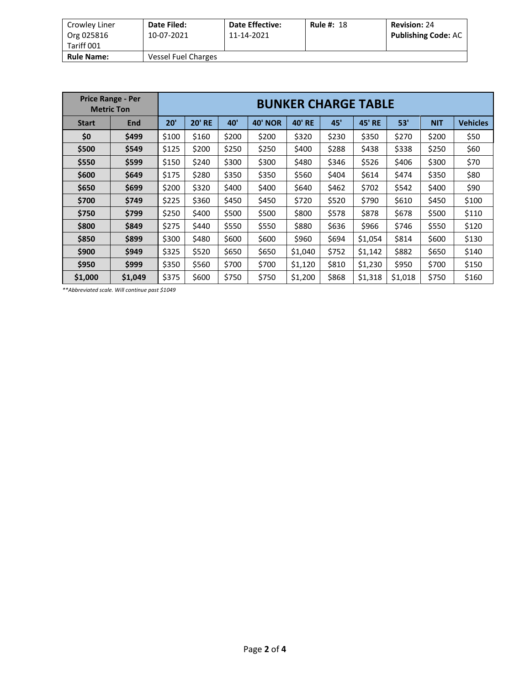| Crowley Liner     | Date Filed:         | <b>Date Effective:</b> | <b>Rule #: 18</b> | <b>Revision: 24</b>        |
|-------------------|---------------------|------------------------|-------------------|----------------------------|
| Org 025816        | 10-07-2021          | 11-14-2021             |                   | <b>Publishing Code: AC</b> |
| Tariff 001        |                     |                        |                   |                            |
| <b>Rule Name:</b> | Vessel Fuel Charges |                        |                   |                            |

| <b>Price Range - Per</b><br><b>Metric Ton</b> |         | <b>BUNKER CHARGE TABLE</b> |       |                |               |         |               |         |            |                 |       |  |
|-----------------------------------------------|---------|----------------------------|-------|----------------|---------------|---------|---------------|---------|------------|-----------------|-------|--|
| <b>Start</b>                                  | 20'     | <b>20' RE</b>              | 40'   | <b>40' NOR</b> | <b>40' RE</b> | 45'     | <b>45' RE</b> | 53'     | <b>NIT</b> | <b>Vehicles</b> |       |  |
| \$0                                           | \$499   | \$100                      | \$160 | \$200          | \$200         | \$320   | \$230         | \$350   | \$270      | \$200           | \$50  |  |
| \$500                                         | \$549   | \$125                      | \$200 | \$250          | \$250         | \$400   | \$288         | \$438   | \$338      | \$250           | \$60  |  |
| \$550                                         | \$599   | \$150                      | \$240 | \$300          | \$300         | \$480   | \$346         | \$526   | \$406      | \$300           | \$70  |  |
| \$600                                         | \$649   | \$175                      | \$280 | \$350          | \$350         | \$560   | \$404         | \$614   | \$474      | \$350           | \$80  |  |
| \$650                                         | \$699   | \$200                      | \$320 | \$400          | \$400         | \$640   | \$462         | \$702   | \$542      | \$400           | \$90  |  |
| \$700                                         | \$749   | \$225                      | \$360 | \$450          | \$450         | \$720   | \$520         | \$790   | \$610      | \$450           | \$100 |  |
| \$750                                         | \$799   | \$250                      | \$400 | \$500          | \$500         | \$800   | \$578         | \$878   | \$678      | \$500           | \$110 |  |
| \$800                                         | \$849   | \$275                      | \$440 | \$550          | \$550         | \$880   | \$636         | \$966   | \$746      | \$550           | \$120 |  |
| \$850                                         | \$899   | \$300                      | \$480 | \$600          | \$600         | \$960   | \$694         | \$1,054 | \$814      | \$600           | \$130 |  |
| \$900                                         | \$949   | \$325                      | \$520 | \$650          | \$650         | \$1,040 | \$752         | \$1,142 | \$882      | \$650           | \$140 |  |
| \$950                                         | \$999   | \$350                      | \$560 | \$700          | \$700         | \$1,120 | \$810         | \$1,230 | \$950      | \$700           | \$150 |  |
| \$1,000                                       | \$1,049 | \$375                      | \$600 | \$750          | \$750         | \$1,200 | \$868         | \$1,318 | \$1,018    | \$750           | \$160 |  |

*\*\*Abbreviated scale. Will continue past \$1049*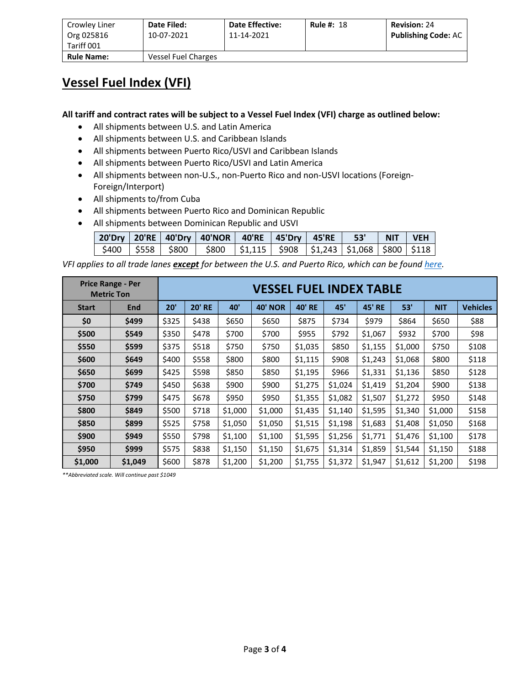| Crowley Liner<br>Org 025816<br>Tariff 001 | Date Filed:<br>10-07-2021 | <b>Date Effective:</b><br>11-14-2021 | <b>Rule #: 18</b> | <b>Revision: 24</b><br><b>Publishing Code: AC</b> |
|-------------------------------------------|---------------------------|--------------------------------------|-------------------|---------------------------------------------------|
|                                           |                           |                                      |                   |                                                   |
| <b>Rule Name:</b>                         | Vessel Fuel Charges       |                                      |                   |                                                   |

#### **Vessel Fuel Index (VFI)**

**All tariff and contract rates will be subject to a Vessel Fuel Index (VFI) charge as outlined below:**

- All shipments between U.S. and Latin America
- All shipments between U.S. and Caribbean Islands
- All shipments between Puerto Rico/USVI and Caribbean Islands
- All shipments between Puerto Rico/USVI and Latin America
- All shipments between non-U.S., non-Puerto Rico and non-USVI locations (Foreign-Foreign/Interport)
- All shipments to/from Cuba
- All shipments between Puerto Rico and Dominican Republic
- All shipments between Dominican Republic and USVI

|  | 20'Dry   20'RE   40'Dry   40'NOR   40'RE   45'Dry   45'RE   53'   NIT   VEH         |  |  |  |
|--|-------------------------------------------------------------------------------------|--|--|--|
|  | \$400   \$558   \$800   \$800   \$1,115   \$908   \$1,243   \$1,068   \$800   \$118 |  |  |  |

*VFI applies to all trade lanes except for between the U.S. and Puerto Rico, which can be found here.*

| <b>Price Range - Per</b><br><b>Metric Ton</b> |                |       | <b>VESSEL FUEL INDEX TABLE</b> |         |                |               |         |               |         |            |                 |  |  |
|-----------------------------------------------|----------------|-------|--------------------------------|---------|----------------|---------------|---------|---------------|---------|------------|-----------------|--|--|
| <b>Start</b>                                  | End            | 20'   | <b>20' RE</b><br>40'           |         | <b>40' NOR</b> | <b>40' RE</b> | 45'     | <b>45' RE</b> | 53'     | <b>NIT</b> | <b>Vehicles</b> |  |  |
| \$0                                           | \$499          | \$325 | \$438                          | \$650   | \$650          | \$875         | \$734   | \$979         | \$864   | \$650      | \$88            |  |  |
| \$500                                         | \$549          | \$350 | \$478                          | \$700   | \$700          | \$955         | \$792   | \$1,067       | \$932   | \$700      | \$98            |  |  |
| \$550                                         | \$599          | \$375 | \$518                          | \$750   | \$750          | \$1,035       | \$850   | \$1,155       | \$1,000 | \$750      | \$108           |  |  |
| \$600                                         | \$649          | \$400 | \$558                          | \$800   | \$800          | \$1,115       | \$908   | \$1,243       | \$1,068 | \$800      | \$118           |  |  |
| \$650                                         | \$699          | \$425 | \$598                          | \$850   | \$850          | \$1,195       | \$966   | \$1,331       | \$1,136 | \$850      | \$128           |  |  |
| \$700                                         | \$749          | \$450 | \$638                          | \$900   | \$900          | \$1,275       | \$1,024 | \$1,419       | \$1,204 | \$900      | \$138           |  |  |
| \$750                                         | \$799          | \$475 | \$678                          | \$950   | \$950          | \$1,355       | \$1,082 | \$1,507       | \$1,272 | \$950      | \$148           |  |  |
| \$800                                         | \$849          | \$500 | \$718                          | \$1,000 | \$1,000        | \$1,435       | \$1,140 | \$1,595       | \$1,340 | \$1,000    | \$158           |  |  |
| \$850                                         | \$899          | \$525 | \$758                          | \$1,050 | \$1,050        | \$1,515       | \$1,198 | \$1,683       | \$1,408 | \$1,050    | \$168           |  |  |
| \$900                                         | \$949          | \$550 | \$798                          | \$1,100 | \$1,100        | \$1,595       | \$1,256 | \$1,771       | \$1,476 | \$1,100    | \$178           |  |  |
| \$950                                         | \$999<br>\$575 |       | \$838                          | \$1,150 | \$1,150        | \$1,675       | \$1,314 | \$1,859       | \$1,544 | \$1,150    | \$188           |  |  |
| \$1,000                                       | \$1,049        | \$600 | \$878                          | \$1,200 | \$1,200        | \$1,755       | \$1,372 | \$1,947       | \$1,612 | \$1,200    | \$198           |  |  |

*\*\*Abbreviated scale. Will continue past \$1049*